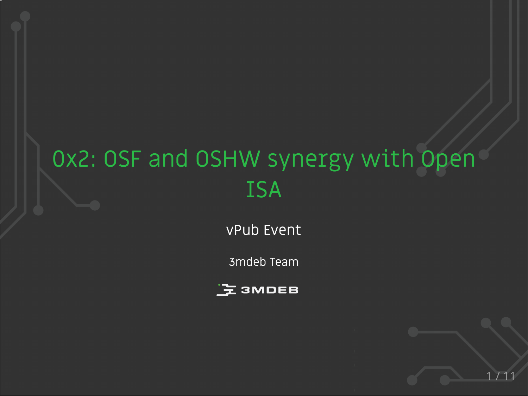# 0x2: OSF and OSHW synergy with Open ISA

vPub Event

3mdeb Team

1 / 11

上<br>3MDEB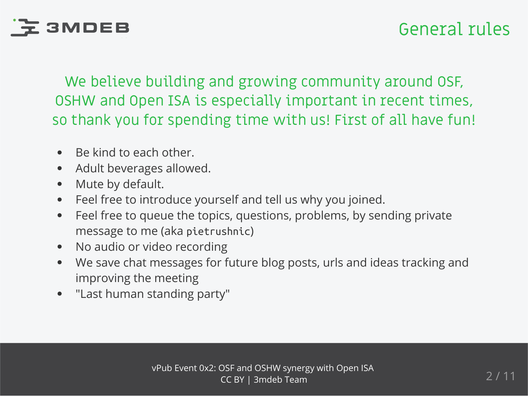# **도 3MDEB**

We believe building and growing community around OSF, OSHW and Open ISA is especially important in recent times, so thank you for spending time with us! First of all have fun!

- Be kind to each other.  $\bullet$
- Adult beverages allowed.  $\bullet$
- Mute by default.  $\bullet$
- Feel free to introduce yourself and tell us why you joined.  $\bullet$
- Feel free to queue the topics, questions, problems, by sending private  $\bullet$ message to me (aka pietrushnic)
- No audio or video recording  $\bullet$
- We save chat messages for future blog posts, urls and ideas tracking and  $\bullet$ improving the meeting
- "Last human standing party"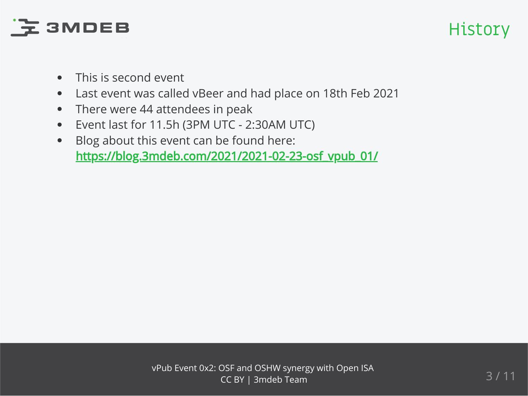# **EXAMPER**

### History

- This is second event  $\bullet$
- Last event was called vBeer and had place on 18th Feb 2021  $\bullet$
- There were 44 attendees in peak  $\bullet$
- Event last for 11.5h (3PM UTC 2:30AM UTC)  $\bullet$
- Blog about this event can be found here:  $\bullet$ [https://blog.3mdeb.com/2021/2021-02-23-osf\\_vpub\\_01/](https://blog.3mdeb.com/2021/2021-02-23-osf_vpub_01/)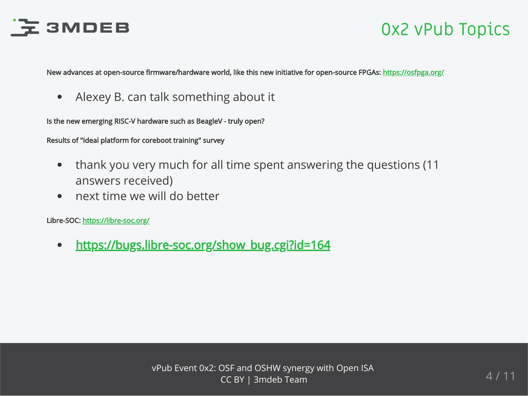

#### 0x2 vPub Topics

New advances at open-source firmware/hardware world, like this new initiative for open-source FPGAs: <https://osfpga.org/>

Alexey B. can talk something about it  $\bullet$ 

Is the new emerging RISC-V hardware such as BeagleV - truly open?

Results of "Ideal platform for coreboot training" survey

- thank you very much for all time spent answering the questions (11  $\bullet$ answers received)
- next time we will do better  $\bullet$

Libre-SOC:<https://libre-soc.org/>

[https://bugs.libre-soc.org/show\\_bug.cgi?id=164](https://bugs.libre-soc.org/show_bug.cgi?id=164)  $\bullet$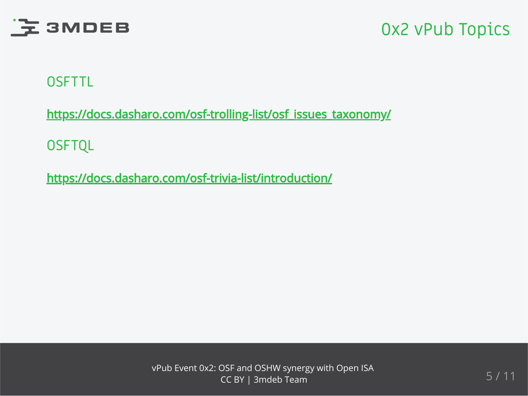

#### 0x2 vPub Topics

#### **OSFTTL**

[https://docs.dasharo.com/osf-trolling-list/osf\\_issues\\_taxonomy/](https://docs.dasharo.com/osf-trolling-list/osf_issues_taxonomy/)

**OSFTQL** 

<https://docs.dasharo.com/osf-trivia-list/introduction/>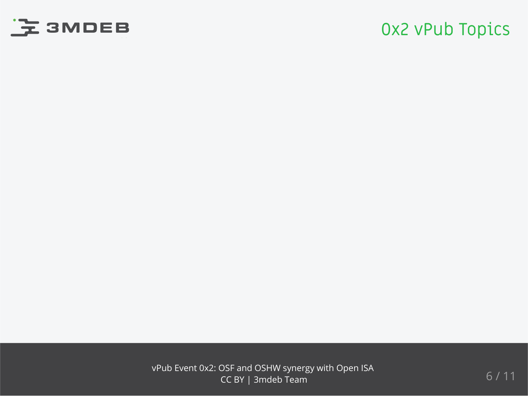

#### 0x2 vPub Topics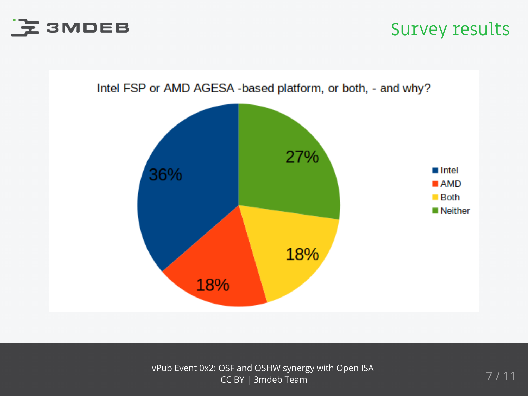

#### Survey results

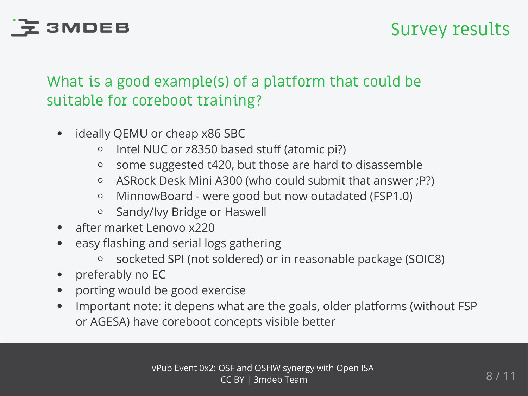

#### What is a good example(s) of a platform that could be suitable for coreboot training?

- ideally QEMU or cheap x86 SBC
	- o Intel NUC or z8350 based stuff (atomic pi?)
	- some suggested t420, but those are hard to disassemble  $\circ$
	- ASRock Desk Mini A300 (who could submit that answer ;P?)  $\circ$
	- MinnowBoard were good but now outadated (FSP1.0)  $\circ$
	- Sandy/Ivy Bridge or Haswell  $\circ$
- after market Lenovo x220
- easy flashing and serial logs gathering
	- socketed SPI (not soldered) or in reasonable package (SOIC8)  $\circ$
- preferably no EC  $\bullet$
- porting would be good exercise  $\bullet$
- Important note: it depens what are the goals, older platforms (without FSP  $\bullet$ or AGESA) have coreboot concepts visible better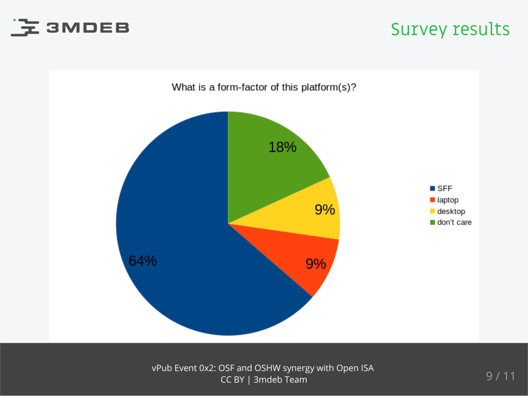

#### Survey results

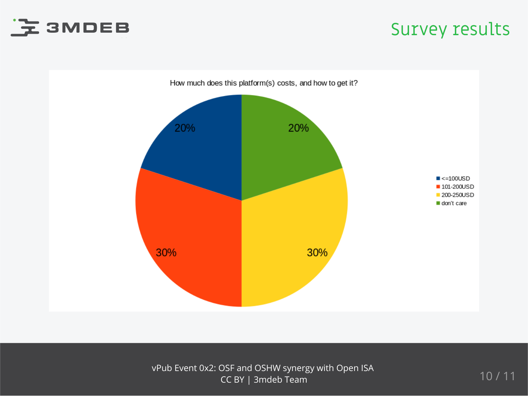

#### Survey results